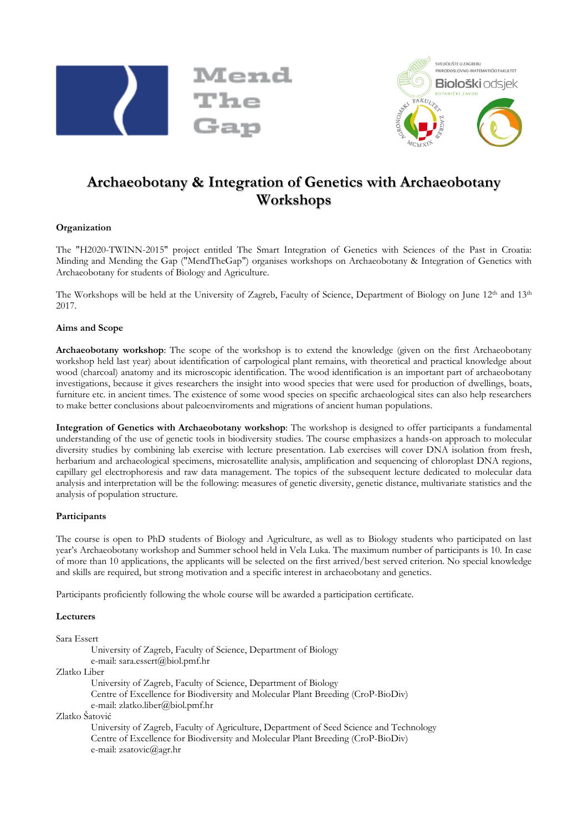



# **Archaeobotany & Integration of Genetics with Archaeobotany Workshops**

## **Organization**

The "H2020-TWINN-2015" project entitled The Smart Integration of Genetics with Sciences of the Past in Croatia: Minding and Mending the Gap ("MendTheGap") organises workshops on Archaeobotany & Integration of Genetics with Archaeobotany for students of Biology and Agriculture.

The Workshops will be held at the University of Zagreb, Faculty of Science, Department of Biology on June 12<sup>th</sup> and 13<sup>th</sup> 2017.

## **Aims and Scope**

**Archaeobotany workshop**: The scope of the workshop is to extend the knowledge (given on the first Archaeobotany workshop held last year) about identification of carpological plant remains, with theoretical and practical knowledge about wood (charcoal) anatomy and its microscopic identification. The wood identification is an important part of archaeobotany investigations, because it gives researchers the insight into wood species that were used for production of dwellings, boats, furniture etc. in ancient times. The existence of some wood species on specific archaeological sites can also help researchers to make better conclusions about paleoenviroments and migrations of ancient human populations.

**Integration of Genetics with Archaeobotany workshop**: The workshop is designed to offer participants a fundamental understanding of the use of genetic tools in biodiversity studies. The course emphasizes a hands-on approach to molecular diversity studies by combining lab exercise with lecture presentation. Lab exercises will cover DNA isolation from fresh, herbarium and archaeological specimens, microsatellite analysis, amplification and sequencing of chloroplast DNA regions, capillary gel electrophoresis and raw data management. The topics of the subsequent lecture dedicated to molecular data analysis and interpretation will be the following: measures of genetic diversity, genetic distance, multivariate statistics and the analysis of population structure.

## **Participants**

The course is open to PhD students of Biology and Agriculture, as well as to Biology students who participated on last year's Archaeobotany workshop and Summer school held in Vela Luka. The maximum number of participants is 10. In case of more than 10 applications, the applicants will be selected on the first arrived/best served criterion. No special knowledge and skills are required, but strong motivation and a specific interest in archaeobotany and genetics.

Participants proficiently following the whole course will be awarded a participation certificate.

**Lecturers**

Sara Essert University of Zagreb, Faculty of Science, Department of Biology e-mail: sara.essert@biol.pmf.hr Zlatko Liber University of Zagreb, Faculty of Science, Department of Biology Centre of Excellence for Biodiversity and Molecular Plant Breeding (CroP-BioDiv) e-mail: zlatko.liber@biol.pmf.hr Zlatko Šatović University of Zagreb, Faculty of Agriculture, Department of Seed Science and Technology Centre of Excellence for Biodiversity and Molecular Plant Breeding (CroP-BioDiv) e-mail: zsatovic@agr.hr